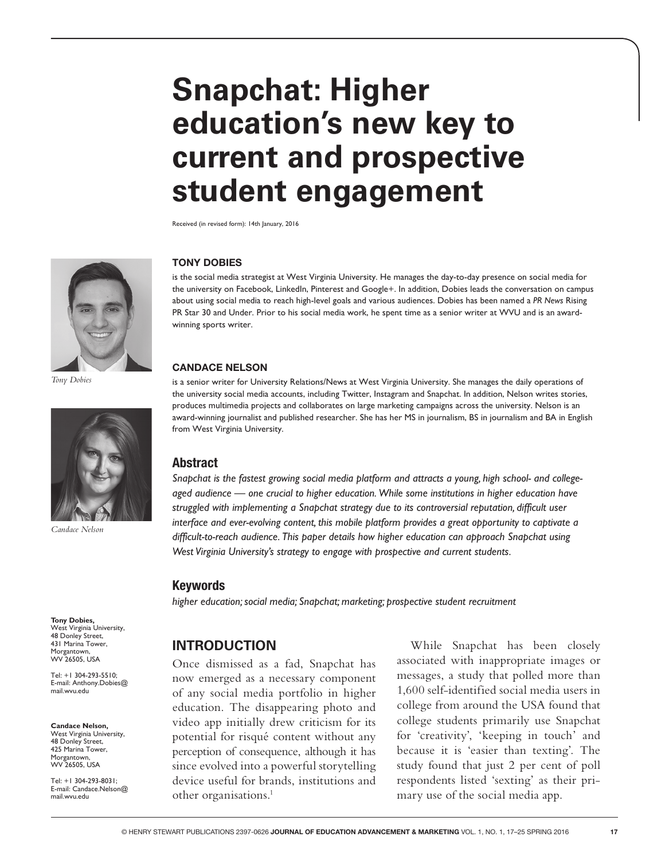# **Snapchat: Higher education's new key to current and prospective student engagement**

Received (in revised form): 14th January, 2016



*Tony Dobies*



*Candace Nelson*

**Tony Dobies,** West Virginia University, 48 Donley Street, 431 Marina Tower, Morgantown,<br>WV 26505, USA

Tel: +1 304-293-5510; E-mail: Anthony.Dobies@ mail.wvu.edu

**Candace Nelson,** West Virginia University,

48 Donley Street, 425 Marina Tower, Morgantown, WV 26505, USA

Tel: +1 304-293-8031; E-mail: Candace.Nelson@ mail.wvu.edu

#### **TONY DOBIES**

is the social media strategist at West Virginia University. He manages the day-to-day presence on social media for the university on Facebook, LinkedIn, Pinterest and Google+. In addition, Dobies leads the conversation on campus about using social media to reach high-level goals and various audiences. Dobies has been named a *PR News* Rising PR Star 30 and Under. Prior to his social media work, he spent time as a senior writer at WVU and is an awardwinning sports writer.

#### **CANDACE NELSON**

is a senior writer for University Relations/News at West Virginia University. She manages the daily operations of the university social media accounts, including Twitter, Instagram and Snapchat. In addition, Nelson writes stories, produces multimedia projects and collaborates on large marketing campaigns across the university. Nelson is an award-winning journalist and published researcher. She has her MS in journalism, BS in journalism and BA in English from West Virginia University.

#### Abstract

*Snapchat is the fastest growing social media platform and attracts a young, high school- and collegeaged audience — one crucial to higher education. While some institutions in higher education have struggled with implementing a Snapchat strategy due to its controversial reputation, difficult user interface and ever-evolving content, this mobile platform provides a great opportunity to captivate a difficult-to-reach audience. This paper details how higher education can approach Snapchat using West Virginia University's strategy to engage with prospective and current students.*

#### Keywords

*higher education; social media; Snapchat; marketing; prospective student recruitment*

# **INTRODUCTION**

Once dismissed as a fad, Snapchat has now emerged as a necessary component of any social media portfolio in higher education. The disappearing photo and video app initially drew criticism for its potential for risqué content without any perception of consequence, although it has since evolved into a powerful storytelling device useful for brands, institutions and other organisations.1

While Snapchat has been closely associated with inappropriate images or messages, a study that polled more than 1,600 self-identified social media users in college from around the USA found that college students primarily use Snapchat for 'creativity', 'keeping in touch' and because it is 'easier than texting'. The study found that just 2 per cent of poll respondents listed 'sexting' as their primary use of the social media app.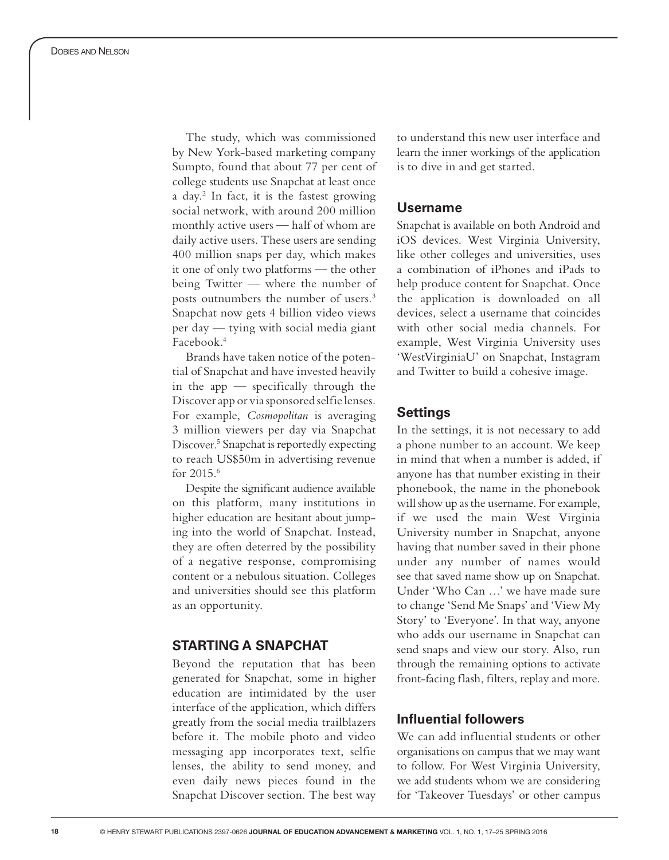The study, which was commissioned by New York-based marketing company Sumpto, found that about 77 per cent of college students use Snapchat at least once a day. 2 In fact, it is the fastest growing social network, with around 200 million monthly active users — half of whom are daily active users. These users are sending 400 million snaps per day, which makes it one of only two platforms — the other being Twitter — where the number of posts outnumbers the number of users. 3 Snapchat now gets 4 billion video views per day — tying with social media giant Facebook. 4

Brands have taken notice of the potential of Snapchat and have invested heavily in the app — specifically through the Discover app or via sponsored selfie lenses. For example, *Cosmopolitan* is averaging 3 million viewers per day via Snapchat Discover. 5 Snapchat is reportedly expecting to reach US\$50m in advertising revenue for 2015. 6

Despite the significant audience available on this platform, many institutions in higher education are hesitant about jump ing into the world of Snapchat. Instead, they are often deterred by the possibility of a negative response, compromising content or a nebulous situation. Colleges and universities should see this platform as an opportunity.

# **STARTING A SNAPCHAT**

Beyond the reputation that has been generated for Snapchat, some in higher education are intimidated by the user interface of the application, which differs greatly from the social media trailblazers before it. The mobile photo and video messaging app incorporates text, selfie lenses, the ability to send money, and even daily news pieces found in the Snapchat Discover section. The best way to understand this new user interface and learn the inner workings of the application is to dive in and get started.

## **Username**

Snapchat is available on both Android and iOS devices. West Virginia University, like other colleges and universities, uses a combination of iPhones and iPads to help produce content for Snapchat. Once the application is downloaded on all devices, select a username that coincides with other social media channels. For example, West Virginia University uses 'WestVirginiaU' on Snapchat, Instagram and Twitter to build a cohesive image.

# **Settings**

In the settings, it is not necessary to add a phone number to an account. We keep in mind that when a number is added, if anyone has that number existing in their phonebook, the name in the phonebook will show up as the username. For example, if we used the main West Virginia University number in Snapchat, anyone having that number saved in their phone under any number of names would see that saved name show up on Snapchat. Under 'Who Can …' we have made sure to change 'Send Me Snaps' and 'View My Story' to 'Everyone'. In that way, anyone who adds our username in Snapchat can send snaps and view our story. Also, run through the remaining options to activate front-facing flash, filters, replay and more.

# **Influential followers**

We can add influential students or other organisations on campus that we may want to follow. For West Virginia University, we add students whom we are considering for 'Takeover Tuesdays' or other campus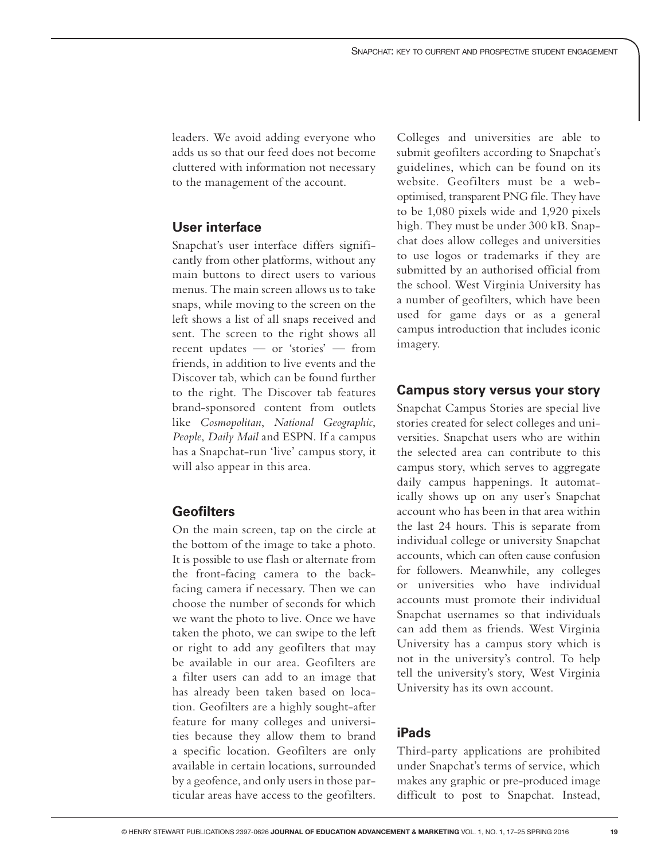leaders. We avoid adding everyone who adds us so that our feed does not become cluttered with information not necessary to the management of the account.

# **User interface**

Snapchat's user interface differs significantly from other platforms, without any main buttons to direct users to various menus. The main screen allows us to take snaps, while moving to the screen on the left shows a list of all snaps received and sent. The screen to the right shows all recent updates — or 'stories' — from friends, in addition to live events and the Discover tab, which can be found further to the right. The Discover tab features brand-sponsored content from outlets like *Cosmopolitan*, *National Geographic*, *People*, *Daily Mail* and ESPN. If a campus has a Snapchat-run 'live' campus story, it will also appear in this area.

# **Geofilters**

On the main screen, tap on the circle at the bottom of the image to take a photo. It is possible to use flash or alternate from the front-facing camera to the backfacing camera if necessary. Then we can choose the number of seconds for which we want the photo to live. Once we have taken the photo, we can swipe to the left or right to add any geofilters that may be available in our area. Geofilters are a filter users can add to an image that has already been taken based on location. Geofilters are a highly sought-after feature for many colleges and universities because they allow them to brand a specific location. Geofilters are only available in certain locations, surrounded by a geofence, and only users in those particular areas have access to the geofilters.

Colleges and universities are able to submit geofilters according to Snapchat's guidelines, which can be found on its website. Geofilters must be a weboptimised, transparent PNG file. They have to be 1,080 pixels wide and 1,920 pixels high. They must be under 300 kB. Snapchat does allow colleges and universities to use logos or trademarks if they are submitted by an authorised official from the school. West Virginia University has a number of geofilters, which have been used for game days or as a general campus introduction that includes iconic imagery.

#### **Campus story versus your story**

Snapchat Campus Stories are special live stories created for select colleges and universities. Snapchat users who are within the selected area can contribute to this campus story, which serves to aggregate daily campus happenings. It automatically shows up on any user's Snapchat account who has been in that area within the last 24 hours. This is separate from individual college or university Snapchat accounts, which can often cause confusion for followers. Meanwhile, any colleges or universities who have individual accounts must promote their individual Snapchat usernames so that individuals can add them as friends. West Virginia University has a campus story which is not in the university's control. To help tell the university's story, West Virginia University has its own account.

# **iPads**

Third-party applications are prohibited under Snapchat's terms of service, which makes any graphic or pre-produced image difficult to post to Snapchat. Instead,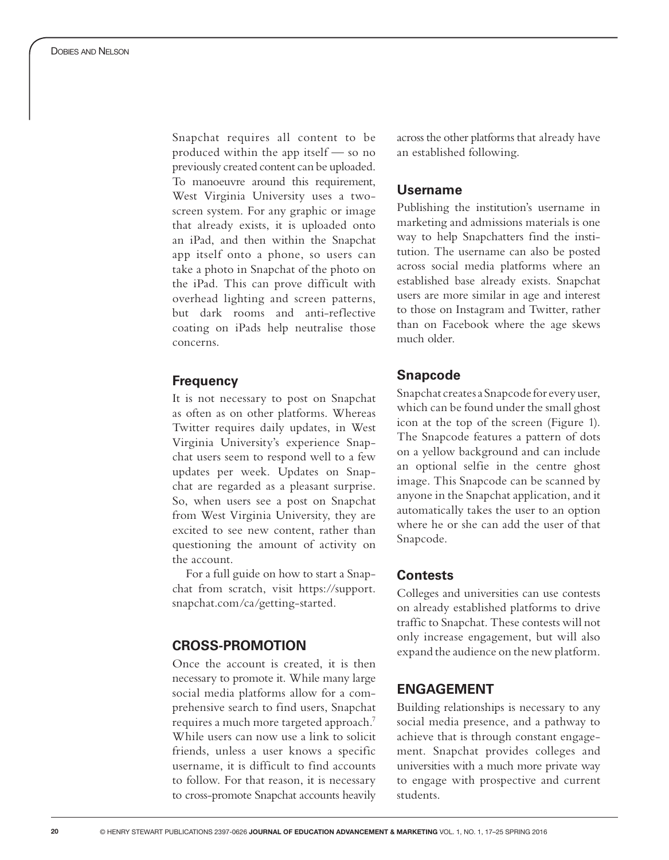Snapchat requires all content to be produced within the app itself — so no previously created content can be uploaded. To manoeuvre around this requirement, West Virginia University uses a twoscreen system. For any graphic or image that already exists, it is uploaded onto an iPad, and then within the Snapchat app itself onto a phone, so users can take a photo in Snapchat of the photo on the iPad. This can prove difficult with overhead lighting and screen patterns, but dark rooms and anti-reflective coating on iPads help neutralise those concerns.

#### **Frequency**

It is not necessary to post on Snapchat as often as on other platforms. Whereas Twitter requires daily updates, in West Virginia University's experience Snap chat users seem to respond well to a few updates per week. Updates on Snap chat are regarded as a pleasant surprise. So, when users see a post on Snapchat from West Virginia University, they are excited to see new content, rather than questioning the amount of activity on the account.

For a full guide on how to start a Snap chat from scratch, visit https://support. snapchat.com/ca/getting-started.

## **CROSS-PROMOTION**

Once the account is created, it is then necessary to promote it. While many large social media platforms allow for a com prehensive search to find users, Snapchat requires a much more targeted approach. 7 While users can now use a link to solicit friends, unless a user knows a specific username, it is difficult to find accounts to follow. For that reason, it is necessary to cross-promote Snapchat accounts heavily

across the other platforms that already have an established following.

#### **Username**

Publishing the institution's username in marketing and admissions materials is one way to help Snapchatters find the insti tution. The username can also be posted across social media platforms where an established base already exists. Snapchat users are more similar in age and interest to those on Instagram and Twitter, rather than on Facebook where the age skews much older.

#### **Snapcode**

Snapchat creates a Snapcode for every user, which can be found under the small ghost icon at the top of the screen (Figure 1). The Snapcode features a pattern of dots on a yellow background and can include an optional selfie in the centre ghost image. This Snapcode can be scanned by anyone in the Snapchat application, and it automatically takes the user to an option where he or she can add the user of that Snapcode.

#### **Contests**

Colleges and universities can use contests on already established platforms to drive traffic to Snapchat. These contests will not only increase engagement, but will also expand the audience on the new platform.

# **ENGAGEMENT**

Building relationships is necessary to any social media presence, and a pathway to achieve that is through constant engage ment. Snapchat provides colleges and universities with a much more private way to engage with prospective and current students.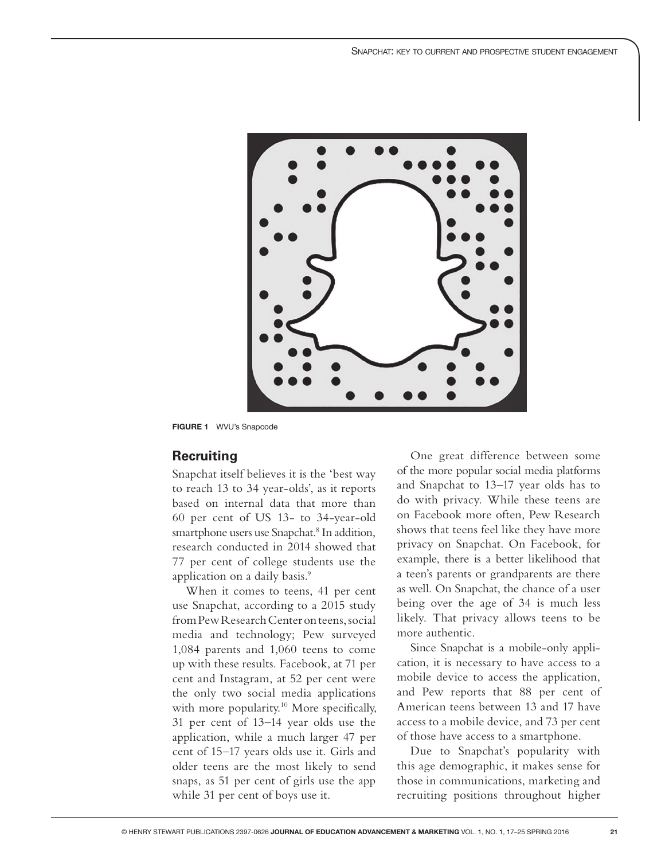

**FIGURE 1** WVU's Snapcode

#### **Recruiting**

Snapchat itself believes it is the 'best way to reach 13 to 34 year-olds', as it reports based on internal data that more than 60 per cent of US 13- to 34-year-old smartphone users use Snapchat.<sup>8</sup> In addition, research conducted in 2014 showed that 77 per cent of college students use the application on a daily basis.<sup>9</sup>

When it comes to teens, 41 per cent use Snapchat, according to a 2015 study from Pew Research Center on teens, social media and technology; Pew surveyed 1,084 parents and 1,060 teens to come up with these results. Facebook, at 71 per cent and Instagram, at 52 per cent were the only two social media applications with more popularity.<sup>10</sup> More specifically, 31 per cent of 13–14 year olds use the application, while a much larger 47 per cent of 15–17 years olds use it. Girls and older teens are the most likely to send snaps, as 51 per cent of girls use the app while 31 per cent of boys use it.

One great difference between some of the more popular social media platforms and Snapchat to 13–17 year olds has to do with privacy. While these teens are on Facebook more often, Pew Research shows that teens feel like they have more privacy on Snapchat. On Facebook, for example, there is a better likelihood that a teen's parents or grandparents are there as well. On Snapchat, the chance of a user being over the age of 34 is much less likely. That privacy allows teens to be more authentic.

Since Snapchat is a mobile-only application, it is necessary to have access to a mobile device to access the application, and Pew reports that 88 per cent of American teens between 13 and 17 have access to a mobile device, and 73 per cent of those have access to a smartphone.

Due to Snapchat's popularity with this age demographic, it makes sense for those in communications, marketing and recruiting positions throughout higher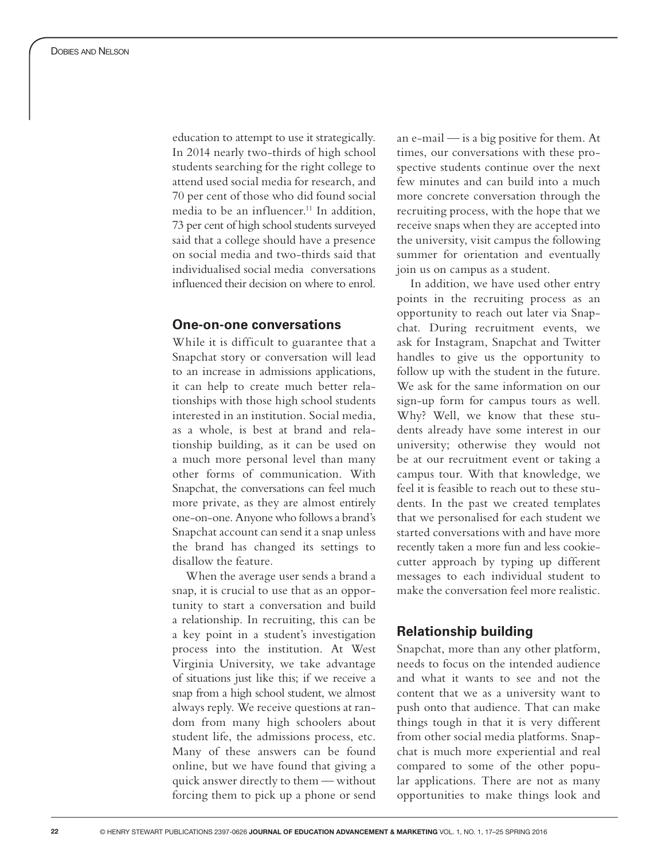education to attempt to use it strategically. In 2014 nearly two-thirds of high school students searching for the right college to attend used social media for research, and 70 per cent of those who did found social media to be an influencer.<sup>11</sup> In addition, 73 per cent of high school students surveyed said that a college should have a presence on social media and two-thirds said that individualised social media conversations influenced their decision on where to enrol.

#### **One-on-one conversations**

While it is difficult to guarantee that a Snapchat story or conversation will lead to an increase in admissions applications, it can help to create much better rela tionships with those high school students interested in an institution. Social media, as a whole, is best at brand and rela tionship building, as it can be used on a much more personal level than many other forms of communication. With Snapchat, the conversations can feel much more private, as they are almost entirely one-on-one. Anyone who follows a brand's Snapchat account can send it a snap unless the brand has changed its settings to disallow the feature.

When the average user sends a brand a snap, it is crucial to use that as an oppor tunity to start a conversation and build a relationship. In recruiting, this can be a key point in a student's investigation process into the institution. At West Virginia University, we take advantage of situations just like this; if we receive a snap from a high school student, we almost always reply. We receive questions at random from many high schoolers about student life, the admissions process, etc. Many of these answers can be found online, but we have found that giving a quick answer directly to them — without forcing them to pick up a phone or send

an e-mail — is a big positive for them. At times, our conversations with these pro spective students continue over the next few minutes and can build into a much more concrete conversation through the recruiting process, with the hope that we receive snaps when they are accepted into the university, visit campus the following summer for orientation and eventually join us on campus as a student.

In addition, we have used other entry points in the recruiting process as an opportunity to reach out later via Snap chat. During recruitment events, we ask for Instagram, Snapchat and Twitter handles to give us the opportunity to follow up with the student in the future. We ask for the same information on our sign-up form for campus tours as well. Why? Well, we know that these stu dents already have some interest in our university; otherwise they would not be at our recruitment event or taking a campus tour. With that knowledge, we feel it is feasible to reach out to these stu dents. In the past we created templates that we personalised for each student we started conversations with and have more recently taken a more fun and less cookiecutter approach by typing up different messages to each individual student to make the conversation feel more realistic.

# **Relationship building**

Snapchat, more than any other platform, needs to focus on the intended audience and what it wants to see and not the content that we as a university want to push onto that audience. That can make things tough in that it is very different from other social media platforms. Snap chat is much more experiential and real compared to some of the other popu lar applications. There are not as many opportunities to make things look and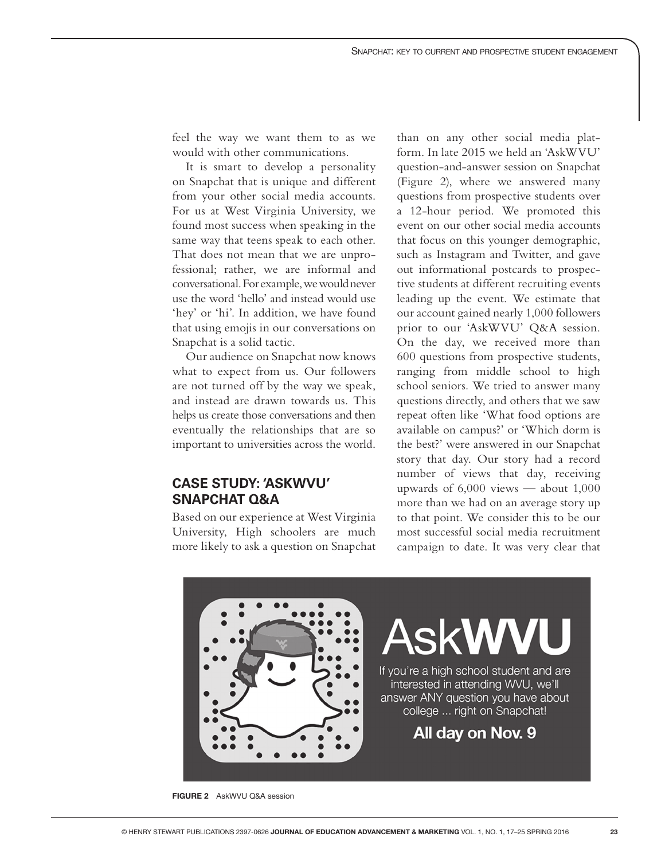feel the way we want them to as we would with other communications.

It is smart to develop a personality on Snapchat that is unique and different from your other social media accounts. For us at West Virginia University, we found most success when speaking in the same way that teens speak to each other. That does not mean that we are unprofessional; rather, we are informal and conversational. For example, we would never use the word 'hello' and instead would use 'hey' or 'hi'. In addition, we have found that using emojis in our conversations on Snapchat is a solid tactic.

Our audience on Snapchat now knows what to expect from us. Our followers are not turned off by the way we speak, and instead are drawn towards us. This helps us create those conversations and then eventually the relationships that are so important to universities across the world.

# **CASE STUDY: 'ASKWVU' SNAPCHAT Q&A**

Based on our experience at West Virginia University, High schoolers are much more likely to ask a question on Snapchat

than on any other social media platform. In late 2015 we held an 'AskWVU' question-and-answer session on Snapchat (Figure 2), where we answered many questions from prospective students over a 12-hour period. We promoted this event on our other social media accounts that focus on this younger demographic, such as Instagram and Twitter, and gave out informational postcards to prospective students at different recruiting events leading up the event. We estimate that our account gained nearly 1,000 followers prior to our 'AskWVU' Q&A session. On the day, we received more than 600 questions from prospective students, ranging from middle school to high school seniors. We tried to answer many questions directly, and others that we saw repeat often like 'What food options are available on campus?' or 'Which dorm is the best?' were answered in our Snapchat story that day. Our story had a record number of views that day, receiving upwards of 6,000 views — about 1,000 more than we had on an average story up to that point. We consider this to be our most successful social media recruitment campaign to date. It was very clear that



**FIGURE 2** AskWVU Q&A session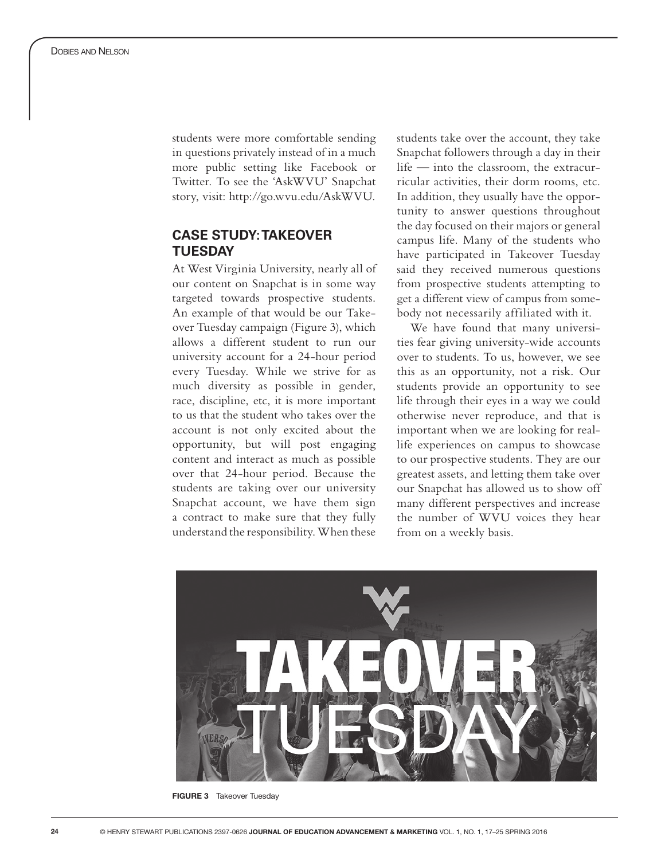students were more comfortable sending in questions privately instead of in a much more public setting like Facebook or Twitter. To see the 'AskWVU' Snapchat story, visit: http://go.wvu.edu/AskWVU.

# **CASE STUDY: TAKEOVER TUESDAY**

At West Virginia University, nearly all of our content on Snapchat is in some way targeted towards prospective students. An example of that would be our Takeover Tuesday campaign (Figure 3), which allows a different student to run our university account for a 24-hour period every Tuesday. While we strive for as much diversity as possible in gender, race, discipline, etc, it is more important to us that the student who takes over the account is not only excited about the opportunity, but will post engaging content and interact as much as possible over that 24-hour period. Because the students are taking over our university Snapchat account, we have them sign a contract to make sure that they fully understand the responsibility. When these

students take over the account, they take Snapchat followers through a day in their life — into the classroom, the extracurricular activities, their dorm rooms, etc. In addition, they usually have the opportunity to answer questions throughout the day focused on their majors or general campus life. Many of the students who have participated in Takeover Tuesday said they received numerous questions from prospective students attempting to get a different view of campus from somebody not necessarily affiliated with it.

We have found that many universities fear giving university-wide accounts over to students. To us, however, we see this as an opportunity, not a risk. Our students provide an opportunity to see life through their eyes in a way we could otherwise never reproduce, and that is important when we are looking for reallife experiences on campus to showcase to our prospective students. They are our greatest assets, and letting them take over our Snapchat has allowed us to show off many different perspectives and increase the number of WVU voices they hear from on a weekly basis.



**FIGURE 3** Takeover Tuesday